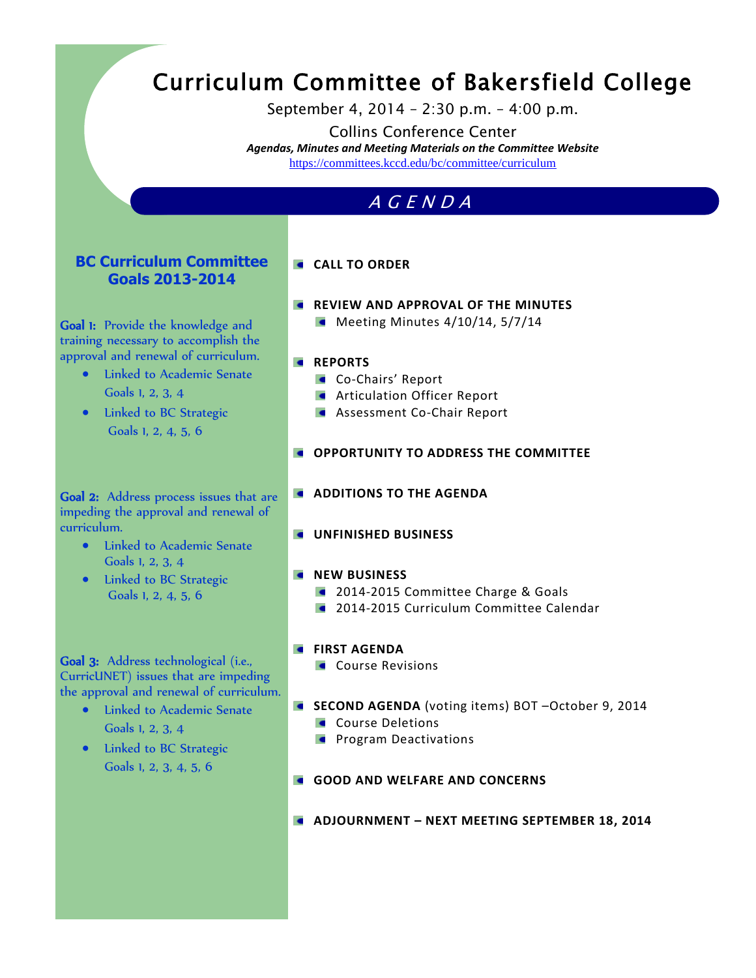# Curriculum Committee of Bakersfield College

September 4, 2014 – 2:30 p.m. – 4:00 p.m.

Collins Conference Center *Agendas, Minutes and Meeting Materials on the Committee Website*  <https://committees.kccd.edu/bc/committee/curriculum>

# A G E N D A

#### **BC Curriculum Committee Goals 2013-2014**

Goal 1: Provide the knowledge and training necessary to accomplish the approval and renewal of curriculum.

- Linked to Academic Senate Goals 1, 2, 3, 4
- Linked to BC Strategic Goals 1, 2, 4, 5, 6

#### **CALL TO ORDER**

**REVIEW AND APPROVAL OF THE MINUTES**  $\blacksquare$  Meeting Minutes 4/10/14, 5/7/14

#### **REPORTS**

- **Co-Chairs' Report**
- **Articulation Officer Report**
- **Assessment Co-Chair Report**
- **OPPORTUNITY TO ADDRESS THE COMMITTEE**
- **ADDITIONS TO THE AGENDA**
- **UNFINISHED BUSINESS**

#### **NEW BUSINESS**

- **2014-2015 Committee Charge & Goals**
- **2014-2015 Curriculum Committee Calendar**
- **FIRST AGENDA** 
	- Course Revisions
- **SECOND AGENDA** (voting items) BOT –October 9, 2014
	- Course Deletions
	- **Program Deactivations**
- **GOOD AND WELFARE AND CONCERNS**
- **ADJOURNMENT – NEXT MEETING SEPTEMBER 18, 2014**

Goal 2: Address process issues that are impeding the approval and renewal of curriculum.

- **•** Linked to Academic Senate Goals 1, 2, 3, 4
- Linked to BC Strategic Goals 1, 2, 4, 5, 6

Goal 3: Address technological (i.e., CurricUNET) issues that are impeding the approval and renewal of curriculum.

- Linked to Academic Senate Goals 1, 2, 3, 4
- Linked to BC Strategic Goals 1, 2, 3, 4, 5, 6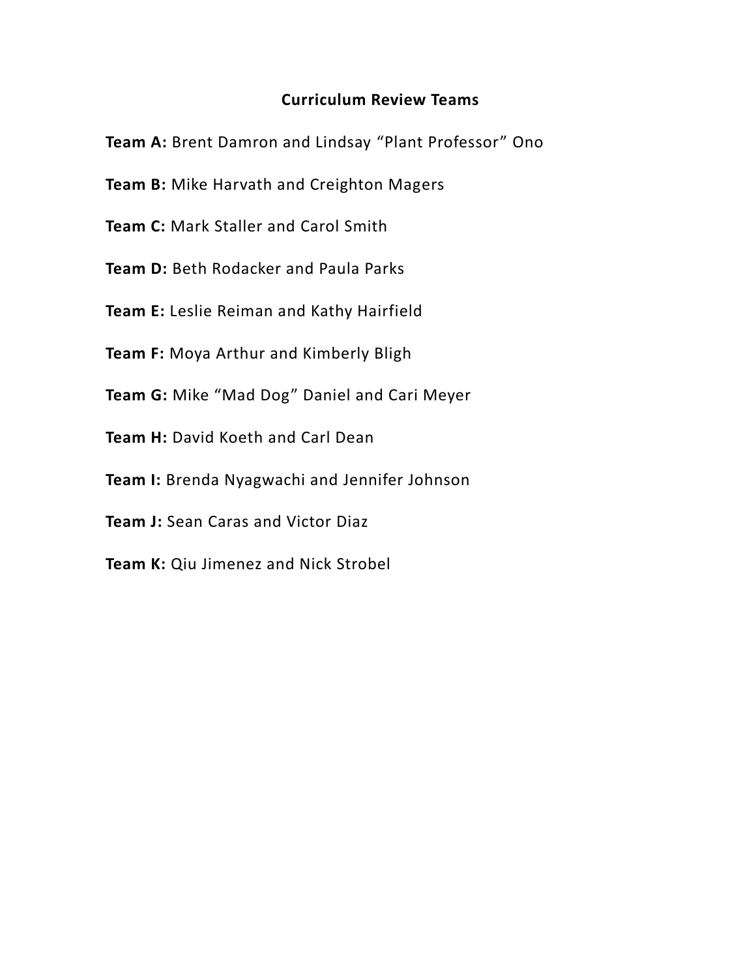## **Curriculum Review Teams**

**Team A:** Brent Damron and Lindsay "Plant Professor" Ono

- **Team B:** Mike Harvath and Creighton Magers
- **Team C:** Mark Staller and Carol Smith
- **Team D: Beth Rodacker and Paula Parks**
- **Team E:** Leslie Reiman and Kathy Hairfield
- **Team F:** Moya Arthur and Kimberly Bligh
- **Team G:** Mike "Mad Dog" Daniel and Cari Meyer
- **Team H:** David Koeth and Carl Dean
- **Team I:** Brenda Nyagwachi and Jennifer Johnson
- **Team J:** Sean Caras and Victor Diaz
- **Team K:** Qiu Jimenez and Nick Strobel